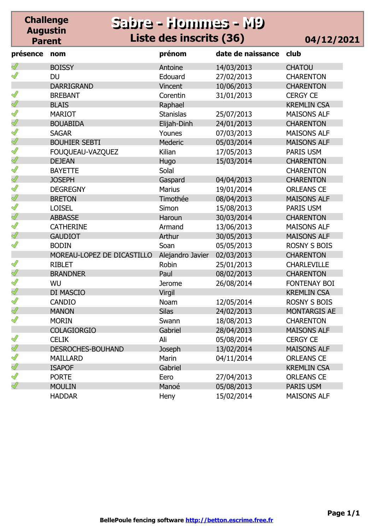#### **Challenge Augustin Parent Sabre - Hommes - M9 Sabre - Hommes - M9 Liste des inscrits (36)**

|  |  | 04/12/2021 |  |
|--|--|------------|--|
|--|--|------------|--|

| présence      | nom                        | prénom           | date de naissance | club                |
|---------------|----------------------------|------------------|-------------------|---------------------|
|               | <b>BOISSY</b>              | Antoine          | 14/03/2013        | <b>CHATOU</b>       |
| $\mathscr{Q}$ | <b>DU</b>                  | Edouard          | 27/02/2013        | <b>CHARENTON</b>    |
|               | <b>DARRIGRAND</b>          | Vincent          | 10/06/2013        | <b>CHARENTON</b>    |
| S             | <b>BREBANT</b>             | Corentin         | 31/01/2013        | <b>CERGY CE</b>     |
| Ï             | <b>BLAIS</b>               | Raphael          |                   | <b>KREMLIN CSA</b>  |
| S             | <b>MARIOT</b>              | <b>Stanislas</b> | 25/07/2013        | <b>MAISONS ALF</b>  |
| Ï             | <b>BOUABIDA</b>            | Elijah-Dinh      | 24/01/2013        | <b>CHARENTON</b>    |
| S             | <b>SAGAR</b>               | Younes           | 07/03/2013        | <b>MAISONS ALF</b>  |
| $\mathscr{Q}$ | <b>BOUHIER SEBTI</b>       | <b>Mederic</b>   | 05/03/2014        | <b>MAISONS ALF</b>  |
| ℐ             | FOUQUEAU-VAZQUEZ           | Kilian           | 17/05/2013        | PARIS USM           |
| $\mathscr{Q}$ | <b>DEJEAN</b>              | Hugo             | 15/03/2014        | <b>CHARENTON</b>    |
| Ĭ             | <b>BAYETTE</b>             | Solal            |                   | <b>CHARENTON</b>    |
| $\mathscr{Q}$ | <b>JOSEPH</b>              | Gaspard          | 04/04/2013        | <b>CHARENTON</b>    |
| Ĭ             | <b>DEGREGNY</b>            | <b>Marius</b>    | 19/01/2014        | <b>ORLEANS CE</b>   |
| $\mathscr{Q}$ | <b>BRETON</b>              | Timothée         | 08/04/2013        | <b>MAISONS ALF</b>  |
| S             | <b>LOISEL</b>              | Simon            | 15/08/2013        | PARIS USM           |
| $\mathscr{Q}$ | <b>ABBASSE</b>             | Haroun           | 30/03/2014        | <b>CHARENTON</b>    |
| S             | <b>CATHERINE</b>           | Armand           | 13/06/2013        | <b>MAISONS ALF</b>  |
| Ï             | <b>GAUDIOT</b>             | Arthur           | 30/05/2013        | <b>MAISONS ALF</b>  |
| ∥             | <b>BODIN</b>               | Soan             | 05/05/2013        | <b>ROSNY S BOIS</b> |
|               | MOREAU-LOPEZ DE DICASTILLO | Alejandro Javier | 02/03/2013        | <b>CHARENTON</b>    |
| $\mathscr{Q}$ | <b>RIBLET</b>              | Robin            | 25/01/2013        | <b>CHARLEVILLE</b>  |
| $\mathscr{Q}$ | <b>BRANDNER</b>            | Paul             | 08/02/2013        | <b>CHARENTON</b>    |
| ∥             | WU                         | <b>Jerome</b>    | 26/08/2014        | <b>FONTENAY BOI</b> |
| $\mathscr{Q}$ | DI MASCIO                  | Virgil           |                   | <b>KREMLIN CSA</b>  |
| $\mathscr{Q}$ | <b>CANDIO</b>              | Noam             | 12/05/2014        | <b>ROSNY S BOIS</b> |
| Ï             | <b>MANON</b>               | <b>Silas</b>     | 24/02/2013        | <b>MONTARGIS AE</b> |
| I             | <b>MORIN</b>               | Swann            | 18/08/2013        | <b>CHARENTON</b>    |
|               | <b>COLAGIORGIO</b>         | Gabriel          | 28/04/2013        | <b>MAISONS ALF</b>  |
| Î             | <b>CELIK</b>               | Ali              | 05/08/2014        | <b>CERGY CE</b>     |
| Ï             | <b>DESROCHES-BOUHAND</b>   | Joseph           | 13/02/2014        | <b>MAISONS ALF</b>  |
| Î             | <b>MAILLARD</b>            | Marin            | 04/11/2014        | <b>ORLEANS CE</b>   |
| $\mathscr{Q}$ | <b>ISAPOF</b>              | Gabriel          |                   | <b>KREMLIN CSA</b>  |
| Ĭ             | <b>PORTE</b>               | Eero             | 27/04/2013        | <b>ORLEANS CE</b>   |
| $\mathscr{Q}$ | <b>MOULIN</b>              | Manoé            | 05/08/2013        | <b>PARIS USM</b>    |
|               | <b>HADDAR</b>              | Heny             | 15/02/2014        | <b>MAISONS ALF</b>  |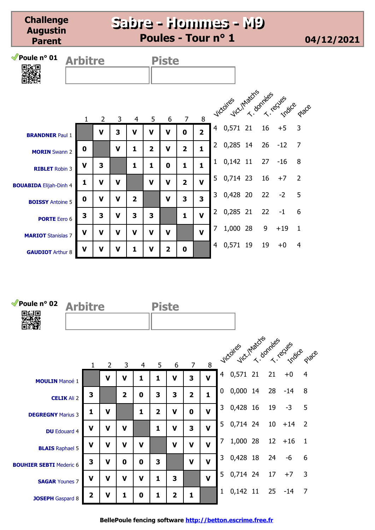**Challenge Augustin Parent**

#### **Sabre - Hommes - M9 Sabre - Hommes - M9 Poules - Tour n° 1 04/12/2021**

| <i>M</i> Poule n° 01<br>33.O  | <b>Arbitre</b> |                |             | <b>Piste</b>   |                         |                |                |                         |                |                              |    |       |                |
|-------------------------------|----------------|----------------|-------------|----------------|-------------------------|----------------|----------------|-------------------------|----------------|------------------------------|----|-------|----------------|
|                               | $\mathbf{1}$   | $\overline{2}$ | 3           | 4              | 5                       | 6              | $\overline{7}$ | 8                       |                | vicores verhacts antes eques |    |       |                |
| <b>BRANDNER Paul 1</b>        |                | V              | 3           | V              | V                       | V              | 0              | $\overline{2}$          |                | 4 0,571 21                   | 16 | $+5$  | 3              |
| <b>MORIN</b> Swann 2          | 0              |                | V           | 1              | $\overline{\mathbf{2}}$ | V              | 2              | $\mathbf{1}$            | $\overline{2}$ | 0,285 14                     | 26 | $-12$ | $\overline{7}$ |
| <b>RIBLET</b> Robin 3         | $\mathbf v$    | 3              |             | 1              | 1                       | 0              | 1              | $\mathbf{1}$            | $\mathbf{1}$   | 0,142 11 27                  |    | $-16$ | 8              |
| <b>BOUABIDA Elijah-Dinh 4</b> | 1              | V              | V           |                | $\mathbf v$             | V              | $\overline{2}$ | $\mathbf v$             | 5              | 0,714 23                     | 16 | $+7$  | 2              |
| <b>BOISSY Antoine 5</b>       | 0              | V              | V           | $\overline{2}$ |                         | $\mathbf v$    | 3              | $\overline{\mathbf{3}}$ | $\mathbf{3}$   | 0,428 20                     | 22 | $-2$  | 5              |
| <b>PORTE</b> Eero 6           | 3              | 3              | V           | 3              | 3                       |                | 1              | $\mathbf{V}$            | $\overline{2}$ | 0,285 21                     | 22 | $-1$  | 6              |
| <b>MARIOT</b> Stanislas 7     | V              | V              | V           | v              | $\mathbf v$             | $\mathbf v$    |                | $\mathbf{V}$            | 7              | 1,000 28                     | 9  | $+19$ | $\mathbf{1}$   |
| <b>GAUDIOT Arthur 8</b>       | $\mathbf V$    | $\mathbf V$    | $\mathbf v$ | 1              | $\mathbf v$             | $\overline{2}$ | 0              |                         | 4              | 0,571 19                     | 19 | $+0$  | 4              |

| <i>M</i> Poule n° 02           | <b>Arbitre</b>     |                |                |                         |   | <b>Piste</b>   |                |                |              |                |                               |  |                 |       |                |
|--------------------------------|--------------------|----------------|----------------|-------------------------|---|----------------|----------------|----------------|--------------|----------------|-------------------------------|--|-----------------|-------|----------------|
|                                |                    | 1              | $\overline{2}$ | 3                       | 4 | 5              | 6              | $\overline{7}$ | 8            |                | victories victimators relates |  |                 |       |                |
| <b>MOULIN Manoé 1</b>          |                    |                | V              | V                       | 1 | 1              | $\mathbf v$    | 3              | $\mathbf v$  | $\overline{4}$ | $0,571$ 21                    |  | 21              | $+0$  | $\overline{4}$ |
|                                | <b>CELIK Ali 2</b> | 3              |                | $\overline{\mathbf{2}}$ | 0 | 3              | 3              | $\overline{2}$ | $\mathbf{1}$ | 0              | 0,000 14                      |  | 28              | $-14$ | 8              |
| <b>DEGREGNY Marius 3</b>       |                    | 1              | V              |                         | 1 | $\overline{2}$ | $\mathbf v$    | $\mathbf 0$    | $\mathbf{V}$ | 3              | 0,428 16                      |  | 19              | $-3$  | 5              |
| <b>DU</b> Edouard 4            |                    | $\mathbf V$    | $\mathbf v$    | $\mathbf v$             |   | $\mathbf{1}$   | $\mathbf v$    | 3              | $\mathbf{V}$ | 5              | 0,714 24                      |  | 10 <sup>1</sup> | $+14$ | $\overline{2}$ |
| <b>BLAIS</b> Raphael 5         |                    | $\mathbf V$    | $\mathbf v$    | $\mathbf V$             | v |                | $\mathbf v$    | $\mathbf v$    | $\mathbf v$  | $\overline{7}$ | 1,000 28                      |  | 12              | $+16$ | $\mathbf{1}$   |
| <b>BOUHIER SEBTI Mederic 6</b> |                    | 3              | V              | 0                       | 0 | 3              |                | $\mathbf v$    | $\mathbf v$  | 3              | 0,428 18                      |  | 24              | -6    | 6              |
| <b>SAGAR Younes 7</b>          |                    | $\mathbf v$    | V              | V                       | V | 1              | 3              |                | $\mathbf{V}$ | 5              | 0,714 24                      |  | 17              | $+7$  | 3              |
| <b>JOSEPH</b> Gaspard 8        |                    | $\overline{2}$ | V              | 1                       | 0 | 1              | $\overline{2}$ | 1              |              | $\mathbf{1}$   | $0,142$ 11                    |  | 25              | $-14$ | $\overline{7}$ |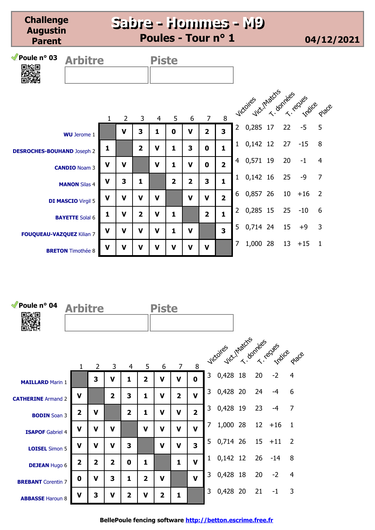**Challenge Augustin Parent**

**Sabre - Hommes - M9 Sabre - Hommes - M9 Poules - Tour n° 1 04/12/2021**

| Poule $n^{\circ}$ 03<br>回線回       | <b>Arbitre</b>            |              |                |                | <b>Piste</b>   |                |                |                |                         |                |                             |    |       |                |
|-----------------------------------|---------------------------|--------------|----------------|----------------|----------------|----------------|----------------|----------------|-------------------------|----------------|-----------------------------|----|-------|----------------|
|                                   |                           | $\mathbf{1}$ | $\overline{2}$ | $\overline{3}$ | $\overline{4}$ | 5              | 6              | $\overline{7}$ | 8                       |                | vicoires intaction recycles |    |       |                |
|                                   | <b>WU</b> Jerome 1        |              | $\mathbf v$    | 3              | 1              | 0              | $\mathbf v$    | $\overline{2}$ | $\overline{\mathbf{3}}$ | $2^{\circ}$    | 0,285 17                    | 22 | $-5$  | 5              |
| <b>DESROCHES-BOUHAND Joseph 2</b> |                           | 1            |                | $\overline{2}$ | $\mathbf v$    | 1              | 3              | $\mathbf 0$    | 1                       | 1              | $0,142$ 12                  | 27 | $-15$ | 8              |
|                                   | <b>CANDIO Noam 3</b>      | $\mathbf v$  | $\mathbf v$    |                | $\mathbf v$    | $\mathbf{1}$   | $\mathbf v$    | $\mathbf 0$    | $\overline{2}$          | $\overline{4}$ | 0,571 19                    | 20 | $-1$  | $\overline{4}$ |
|                                   | <b>MANON Silas 4</b>      | $\mathbf v$  | 3              | 1              |                | $\overline{2}$ | $\overline{2}$ | 3              | $\mathbf{1}$            | $\mathbf{1}$   | $0,142$ 16                  | 25 | $-9$  | $\overline{7}$ |
|                                   | <b>DI MASCIO Virgil 5</b> | $\mathbf v$  | V              | $\mathbf v$    | $\mathbf v$    |                | $\mathbf v$    | $\mathbf v$    | $\overline{2}$          | 6              | 0,857 26                    | 10 | $+16$ | $\overline{2}$ |
|                                   | <b>BAYETTE Solal 6</b>    | 1            | $\mathbf v$    | $\overline{2}$ | $\mathbf v$    | 1              |                | $\overline{2}$ | $\mathbf{1}$            | $\overline{2}$ | 0,285 15                    | 25 | $-10$ | 6              |
| FOUQUEAU-VAZQUEZ Kilian 7         |                           | $\mathbf v$  | V              | $\mathbf v$    | V              | 1              | V              |                | $\overline{\mathbf{3}}$ | 5              | 0,714 24                    | 15 | $+9$  | 3              |
|                                   | <b>BRETON</b> Timothée 8  | $\mathbf v$  | $\mathbf v$    | $\mathbf v$    | $\mathbf v$    | $\mathbf v$    | $\mathbf v$    | $\mathbf v$    |                         | $\overline{7}$ | 1,000 28                    | 13 | $+15$ | $\mathbf{1}$   |

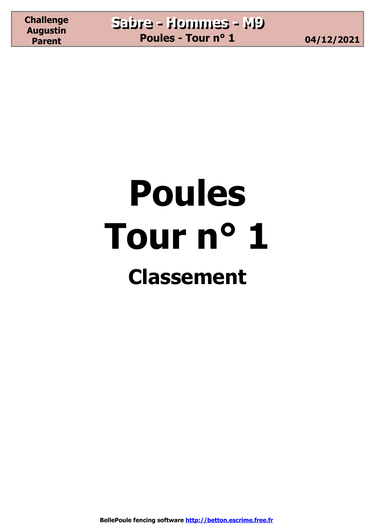# **Poules Tour n° 1 Classement**

**BellePoule fencing software http://betton.escrime.free.fr**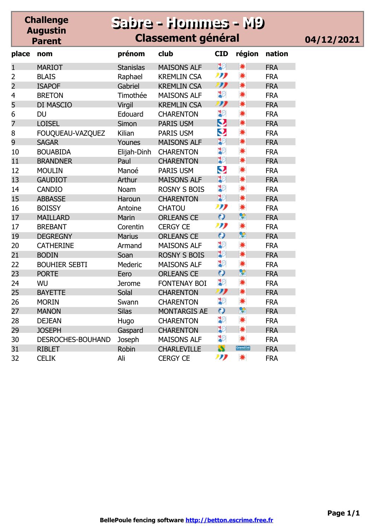|                | <b>Challenge</b><br><b>Augustin</b><br><b>Parent</b> |                  | <b>Sabre - Hommes - M9</b><br><b>Classement général</b> |              |           |            |
|----------------|------------------------------------------------------|------------------|---------------------------------------------------------|--------------|-----------|------------|
| place          | nom                                                  | prénom           | club                                                    | <b>CID</b>   | région    | nation     |
| 1              | <b>MARIOT</b>                                        | <b>Stanislas</b> | <b>MAISONS ALF</b>                                      | ăЭ           | *         | <b>FRA</b> |
| $\overline{2}$ | <b>BLAIS</b>                                         | Raphael          | <b>KREMLIN CSA</b>                                      | תנו          | *         | <b>FRA</b> |
| $\overline{2}$ | <b>ISAPOF</b>                                        | Gabriel          | <b>KREMLIN CSA</b>                                      | IJ           | *         | <b>FRA</b> |
| 4              | <b>BRETON</b>                                        | Timothée         | <b>MAISONS ALF</b>                                      | ္မွာ         | *         | <b>FRA</b> |
| 5              | DI MASCIO                                            | Virgil           | <b>KREMLIN CSA</b>                                      | IJ           | ☀         | <b>FRA</b> |
| 6              | <b>DU</b>                                            | Edouard          | <b>CHARENTON</b>                                        | ុះ           | *         | <b>FRA</b> |
| $\overline{7}$ | <b>LOISEL</b>                                        | Simon            | <b>PARIS USM</b>                                        | ୰            | *         | <b>FRA</b> |
| 8              | FOUQUEAU-VAZQUEZ                                     | Kilian           | <b>PARIS USM</b>                                        | ູ            | *         | <b>FRA</b> |
| 9              | <b>SAGAR</b>                                         | Younes           | <b>MAISONS ALF</b>                                      | 30           | ☀         | <b>FRA</b> |
| 10             | <b>BOUABIDA</b>                                      | Elijah-Dinh      | <b>CHARENTON</b>                                        | ៛            | *         | <b>FRA</b> |
| 11             | <b>BRANDNER</b>                                      | Paul             | <b>CHARENTON</b>                                        | 32           | *         | <b>FRA</b> |
| 12             | <b>MOULIN</b>                                        | Manoé            | <b>PARIS USM</b>                                        | Q            | *         | <b>FRA</b> |
| 13             | <b>GAUDIOT</b>                                       | Arthur           | <b>MAISONS ALF</b>                                      | 32           | ☀         | <b>FRA</b> |
| 14             | <b>CANDIO</b>                                        | Noam             | <b>ROSNY S BOIS</b>                                     | 30           | *         | <b>FRA</b> |
| 15             | <b>ABBASSE</b>                                       | Haroun           | <b>CHARENTON</b>                                        | 32           | *         | <b>FRA</b> |
| 16             | <b>BOISSY</b>                                        | Antoine          | <b>CHATOU</b>                                           | תנו          | *         | <b>FRA</b> |
| 17             | <b>MAILLARD</b>                                      | Marin            | <b>ORLEANS CE</b>                                       | $\omega$     | ۴         | <b>FRA</b> |
| 17             | <b>BREBANT</b>                                       | Corentin         | <b>CERGY CE</b>                                         | תנו          | *         | <b>FRA</b> |
| 19             | <b>DEGREGNY</b>                                      | <b>Marius</b>    | <b>ORLEANS CE</b>                                       | $\mathbf{o}$ | ç         | <b>FRA</b> |
| 20             | <b>CATHERINE</b>                                     | Armand           | <b>MAISONS ALF</b>                                      | ္နွ          | *         | <b>FRA</b> |
| 21             | <b>BODIN</b>                                         | Soan             | <b>ROSNY S BOIS</b>                                     | 32           | ☀         | <b>FRA</b> |
| 22             | <b>BOUHIER SEBTI</b>                                 | Mederic          | <b>MAISONS ALF</b>                                      | ៛            | *         | <b>FRA</b> |
| 23             | <b>PORTE</b>                                         | Eero             | <b>ORLEANS CE</b>                                       | Ô            | ۴         | <b>FRA</b> |
| 24             | WU                                                   | <b>Jerome</b>    | FONTENAY BOI                                            | ៛            | *         | <b>FRA</b> |
| 25             | <b>BAYETTE</b>                                       | Solal            | <b>CHARENTON</b>                                        | IJ           | *         | <b>FRA</b> |
| 26             | <b>MORIN</b>                                         | Swann            | <b>CHARENTON</b>                                        | ៛            | *         | <b>FRA</b> |
| 27             | <b>MANON</b>                                         | <b>Silas</b>     | <b>MONTARGIS AE</b>                                     | $\mathbf{o}$ | 옃         | <b>FRA</b> |
| 28             | <b>DEJEAN</b>                                        | Hugo             | <b>CHARENTON</b>                                        | ុ            | *         | <b>FRA</b> |
| 29             | <b>JOSEPH</b>                                        | Gaspard          | <b>CHARENTON</b>                                        | 32           | *         | <b>FRA</b> |
| 30             | DESROCHES-BOUHAND                                    | Joseph           | <b>MAISONS ALF</b>                                      | ុះ           | *         | <b>FRA</b> |
| 31             | <b>RIBLET</b>                                        | Robin            | <b>CHARLEVILLE</b>                                      | S            | Grandlist | <b>FRA</b> |
| 32             | <b>CELIK</b>                                         | Ali              | <b>CERGY CE</b>                                         | תנו          | ☀         | <b>FRA</b> |

04/12/2021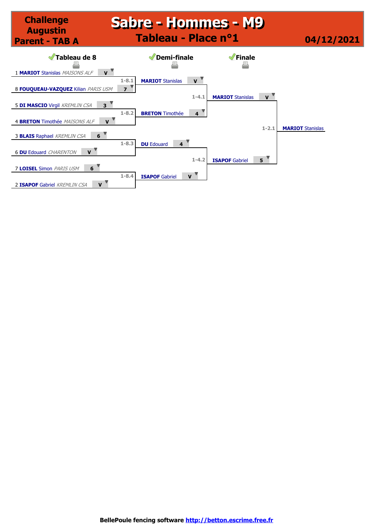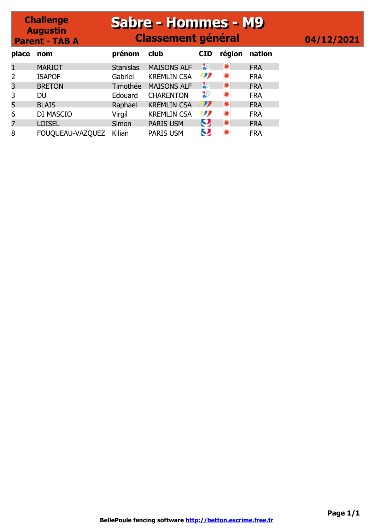#### **Sabre - Hommes - M9 Sabre - Hommes - M9 Classement général 04/12/2021**

| place | nom              | prénom           | club               | <b>CID</b> | région | nation     |
|-------|------------------|------------------|--------------------|------------|--------|------------|
|       | <b>MARIOT</b>    | <b>Stanislas</b> | <b>MAISONS ALF</b> | BЭ         | *      | <b>FRA</b> |
|       | <b>ISAPOF</b>    | Gabriel          | <b>KREMLIN CSA</b> | ""         | *      | <b>FRA</b> |
| 3     | <b>BRETON</b>    | Timothée         | <b>MAISONS ALF</b> | IЮ         | ☀      | <b>FRA</b> |
| 3     | DU               | Edouard          | <b>CHARENTON</b>   | 30         | *      | <b>FRA</b> |
| 5     | <b>BLAIS</b>     | Raphael          | <b>KREMLIN CSA</b> | ""         | ☀      | <b>FRA</b> |
| 6     | DI MASCIO        | Virgil           | <b>KREMLIN CSA</b> | תנו        | *      | <b>FRA</b> |
| 7     | <b>LOISEL</b>    | Simon            | <b>PARIS USM</b>   | Q,         | ☀      | <b>FRA</b> |
| 8     | FOUQUEAU-VAZQUEZ | Kilian           | <b>PARIS USM</b>   | О          |        | <b>FRA</b> |

**Challenge Augustin Parent - TAB A**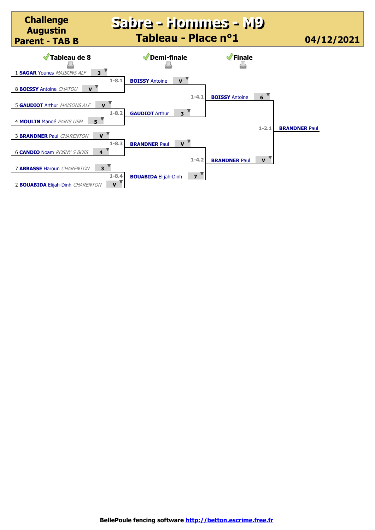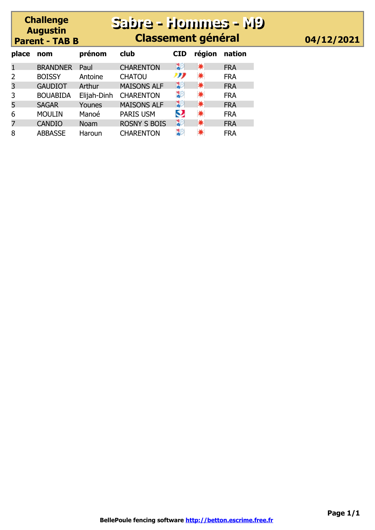## **Sabre - Hommes - M9 Sabre - Hommes - M9 Classement général 04/12/2021**

| place | nom             | prénom      | club                | <b>CID</b> | région | nation     |
|-------|-----------------|-------------|---------------------|------------|--------|------------|
|       | <b>BRANDNER</b> | Paul        | <b>CHARENTON</b>    | 30         | ☀      | <b>FRA</b> |
| 2     | <b>BOISSY</b>   | Antoine     | <b>CHATOU</b>       | נני        | *      | <b>FRA</b> |
| 3     | <b>GAUDIOT</b>  | Arthur      | <b>MAISONS ALF</b>  | 30         | *      | <b>FRA</b> |
| 3     | <b>BOUABIDA</b> | Elijah-Dinh | <b>CHARENTON</b>    | ঃ          | ☀      | <b>FRA</b> |
| 5     | <b>SAGAR</b>    | Younes      | <b>MAISONS ALF</b>  | ঃ⊵         | ☀      | <b>FRA</b> |
| 6     | <b>MOULIN</b>   | Manoé       | <b>PARIS USM</b>    | Q          | *      | <b>FRA</b> |
| 7     | <b>CANDIO</b>   | <b>Noam</b> | <b>ROSNY S BOIS</b> | ঃ⊵         | *      | <b>FRA</b> |
| 8     | <b>ABBASSE</b>  | Haroun      | <b>CHARENTON</b>    | ঽি         | *      | <b>FRA</b> |

**Challenge Augustin Parent - TAB B**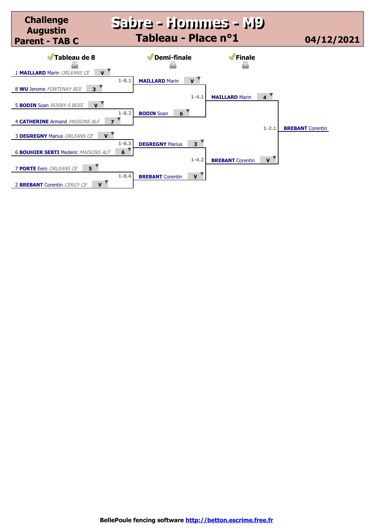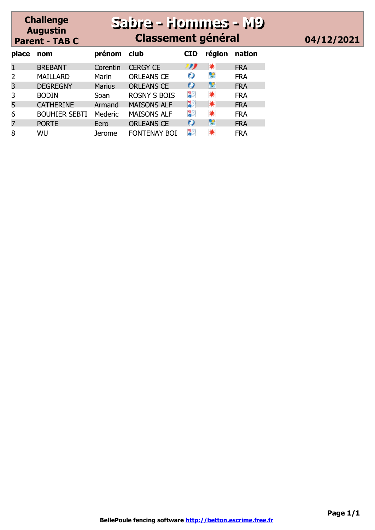## **Sabre - Hommes - M9 Sabre - Hommes - M9 Classement général 04/12/2021**

| place | nom                  | prénom        | club                | <b>CID</b> | région | nation     |
|-------|----------------------|---------------|---------------------|------------|--------|------------|
|       | <b>BREBANT</b>       | Corentin      | <b>CERGY CE</b>     | תע         | ☀      | <b>FRA</b> |
| 2     | <b>MAILLARD</b>      | Marin         | <b>ORLEANS CE</b>   |            | ÷      | <b>FRA</b> |
| 3     | <b>DEGREGNY</b>      | <b>Marius</b> | <b>ORLEANS CE</b>   |            | ç      | <b>FRA</b> |
| 3     | <b>BODIN</b>         | Soan          | <b>ROSNY S BOIS</b> | æ          | *      | <b>FRA</b> |
| 5     | <b>CATHERINE</b>     | Armand        | <b>MAISONS ALF</b>  | 20         | ☀      | <b>FRA</b> |
| 6     | <b>BOUHIER SEBTI</b> | Mederic       | <b>MAISONS ALF</b>  | 20         | *      | <b>FRA</b> |
|       | <b>PORTE</b>         | Eero          | <b>ORLEANS CE</b>   |            | ۴      | <b>FRA</b> |
| 8     | WU                   | Jerome        | <b>FONTENAY BOI</b> | 20         |        | <b>FRA</b> |

**Challenge Augustin Parent - TAB C**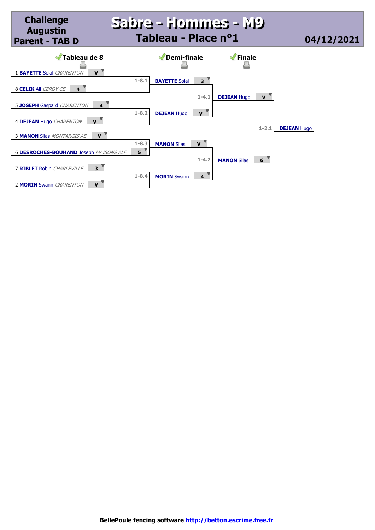